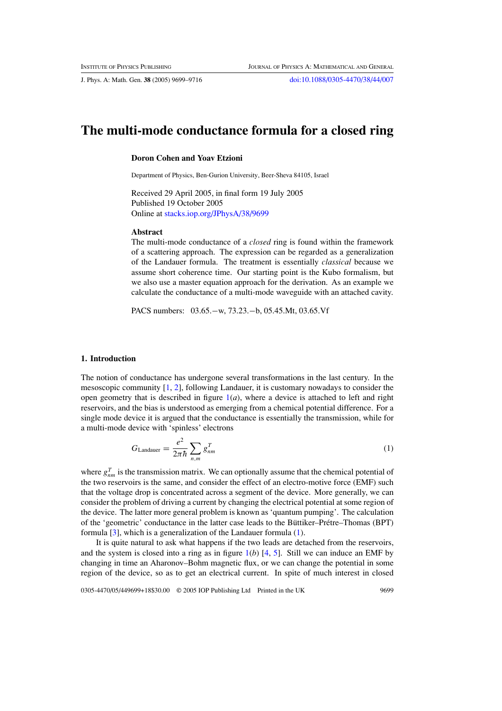# **The multi-mode conductance formula for a closed ring**

# **Doron Cohen and Yoav Etzioni**

Department of Physics, Ben-Gurion University, Beer-Sheva 84105, Israel

Received 29 April 2005, in final form 19 July 2005 Published 19 October 2005 Online at [stacks.iop.org/JPhysA/38/9699](http://stacks.iop.org/JPhysA/38/9699)

#### **Abstract**

The multi-mode conductance of a *closed* ring is found within the framework of a scattering approach. The expression can be regarded as a generalization of the Landauer formula. The treatment is essentially *classical* because we assume short coherence time. Our starting point is the Kubo formalism, but we also use a master equation approach for the derivation. As an example we calculate the conductance of a multi-mode waveguide with an attached cavity.

PACS numbers: 03.65.−w, 73.23.−b, 05.45.Mt, 03.65.Vf

# **1. Introduction**

The notion of conductance has undergone several transformations in the last century. In the mesoscopic community [\[1](#page-16-0), [2\]](#page-16-0), following Landauer, it is customary nowadays to consider the open geometry that is described in figure  $1(a)$  $1(a)$ , where a device is attached to left and right reservoirs, and the bias is understood as emerging from a chemical potential difference. For a single mode device it is argued that the conductance is essentially the transmission, while for a multi-mode device with 'spinless' electrons

$$
G_{\text{Landauer}} = \frac{e^2}{2\pi\hbar} \sum_{n,m} g_{nm}^T \tag{1}
$$

where  $g_{nm}^T$  is the transmission matrix. We can optionally assume that the chemical potential of the two reservoirs is the same, and consider the effect of an electro-motive force (EMF) such that the voltage drop is concentrated across a segment of the device. More generally, we can consider the problem of driving a current by changing the electrical potential at some region of the device. The latter more general problem is known as 'quantum pumping'. The calculation of the 'geometric' conductance in the latter case leads to the Büttiker–Prétre–Thomas (BPT) formula [\[3](#page-16-0)], which is a generalization of the Landauer formula (1).

It is quite natural to ask what happens if the two leads are detached from the reservoirs, and the system is closed into a ring as in figure  $1(b)$  $1(b)$  [\[4,](#page-16-0) [5](#page-16-0)]. Still we can induce an EMF by changing in time an Aharonov–Bohm magnetic flux, or we can change the potential in some region of the device, so as to get an electrical current. In spite of much interest in closed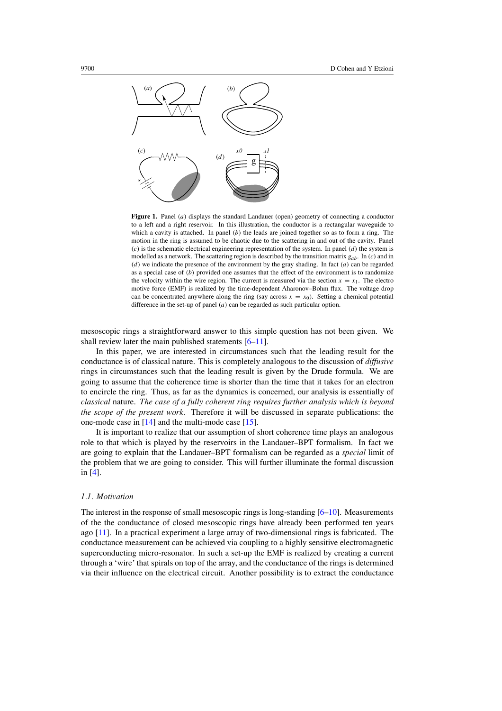<span id="page-1-0"></span>

**Figure 1.** Panel *(a)* displays the standard Landauer (open) geometry of connecting a conductor to a left and a right reservoir. In this illustration, the conductor is a rectangular waveguide to which a cavity is attached. In panel *(b)* the leads are joined together so as to form a ring. The motion in the ring is assumed to be chaotic due to the scattering in and out of the cavity. Panel *(c)* is the schematic electrical engineering representation of the system. In panel *(d)* the system is modelled as a network. The scattering region is described by the transition matrix *gab*. In *(c)* and in *(d)* we indicate the presence of the environment by the gray shading. In fact *(a)* can be regarded as a special case of *(b)* provided one assumes that the effect of the environment is to randomize the velocity within the wire region. The current is measured via the section  $x = x<sub>1</sub>$ . The electro motive force (EMF) is realized by the time-dependent Aharonov–Bohm flux. The voltage drop can be concentrated anywhere along the ring (say across  $x = x_0$ ). Setting a chemical potential difference in the set-up of panel *(a)* can be regarded as such particular option.

mesoscopic rings a straightforward answer to this simple question has not been given. We shall review later the main published statements [\[6–11\]](#page-16-0).

In this paper, we are interested in circumstances such that the leading result for the conductance is of classical nature. This is completely analogous to the discussion of *diffusive* rings in circumstances such that the leading result is given by the Drude formula. We are going to assume that the coherence time is shorter than the time that it takes for an electron to encircle the ring. Thus, as far as the dynamics is concerned, our analysis is essentially of *classical* nature. *The case of a fully coherent ring requires further analysis which is beyond the scope of the present work*. Therefore it will be discussed in separate publications: the one-mode case in [\[14](#page-17-0)] and the multi-mode case [\[15\]](#page-17-0).

It is important to realize that our assumption of short coherence time plays an analogous role to that which is played by the reservoirs in the Landauer–BPT formalism. In fact we are going to explain that the Landauer–BPT formalism can be regarded as a *special* limit of the problem that we are going to consider. This will further illuminate the formal discussion in [\[4](#page-16-0)].

# *1.1. Motivation*

The interest in the response of small mesoscopic rings is long-standing  $[6-10]$ . Measurements of the the conductance of closed mesoscopic rings have already been performed ten years ago [\[11](#page-16-0)]. In a practical experiment a large array of two-dimensional rings is fabricated. The conductance measurement can be achieved via coupling to a highly sensitive electromagnetic superconducting micro-resonator. In such a set-up the EMF is realized by creating a current through a 'wire' that spirals on top of the array, and the conductance of the rings is determined via their influence on the electrical circuit. Another possibility is to extract the conductance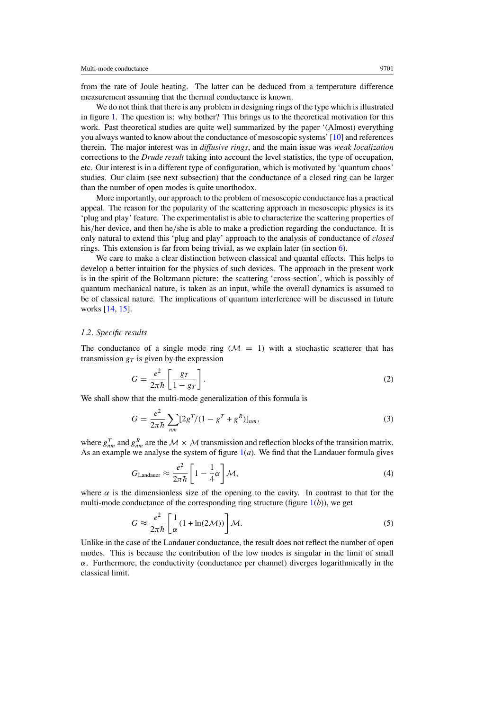<span id="page-2-0"></span>from the rate of Joule heating. The latter can be deduced from a temperature difference measurement assuming that the thermal conductance is known.

We do not think that there is any problem in designing rings of the type which is illustrated in figure [1.](#page-1-0) The question is: why bother? This brings us to the theoretical motivation for this work. Past theoretical studies are quite well summarized by the paper '(Almost) everything you always wanted to know about the conductance of mesoscopic systems' [\[10](#page-16-0)] and references therein. The major interest was in *diffusive rings*, and the main issue was *weak localization* corrections to the *Drude result* taking into account the level statistics, the type of occupation, etc. Our interest is in a different type of configuration, which is motivated by 'quantum chaos' studies. Our claim (see next subsection) that the conductance of a closed ring can be larger than the number of open modes is quite unorthodox.

More importantly, our approach to the problem of mesoscopic conductance has a practical appeal. The reason for the popularity of the scattering approach in mesoscopic physics is its 'plug and play' feature. The experimentalist is able to characterize the scattering properties of his*/*her device, and then he*/*she is able to make a prediction regarding the conductance. It is only natural to extend this 'plug and play' approach to the analysis of conductance of *closed* rings. This extension is far from being trivial, as we explain later (in section [6\)](#page-6-0).

We care to make a clear distinction between classical and quantal effects. This helps to develop a better intuition for the physics of such devices. The approach in the present work is in the spirit of the Boltzmann picture: the scattering 'cross section', which is possibly of quantum mechanical nature, is taken as an input, while the overall dynamics is assumed to be of classical nature. The implications of quantum interference will be discussed in future works [\[14,](#page-17-0) [15\]](#page-17-0).

### *1.2. Specific results*

The conductance of a single mode ring  $(M = 1)$  with a stochastic scatterer that has transmission  $g_T$  is given by the expression

$$
G = \frac{e^2}{2\pi\hbar} \left[ \frac{g_T}{1 - g_T} \right].
$$
 (2)

We shall show that the multi-mode generalization of this formula is

$$
G = \frac{e^2}{2\pi\hbar} \sum_{nm} [2g^T/(1 - g^T + g^R)]_{nm},
$$
\n(3)

where  $g_{nm}^T$  and  $g_{nm}^R$  are the  $M \times M$  transmission and reflection blocks of the transition matrix. As an example we analyse the system of figure  $1(a)$  $1(a)$ . We find that the Landauer formula gives

$$
G_{\text{Landauer}} \approx \frac{e^2}{2\pi\hbar} \left[ 1 - \frac{1}{4}\alpha \right] \mathcal{M},\tag{4}
$$

where  $\alpha$  is the dimensionless size of the opening to the cavity. In contrast to that for the multi-mode conductance of the corresponding ring structure (figure  $1(b)$  $1(b)$ ), we get

$$
G \approx \frac{e^2}{2\pi\hbar} \left[ \frac{1}{\alpha} (1 + \ln(2\mathcal{M})) \right] \mathcal{M}.
$$
 (5)

Unlike in the case of the Landauer conductance, the result does not reflect the number of open modes. This is because the contribution of the low modes is singular in the limit of small  $\alpha$ . Furthermore, the conductivity (conductance per channel) diverges logarithmically in the classical limit.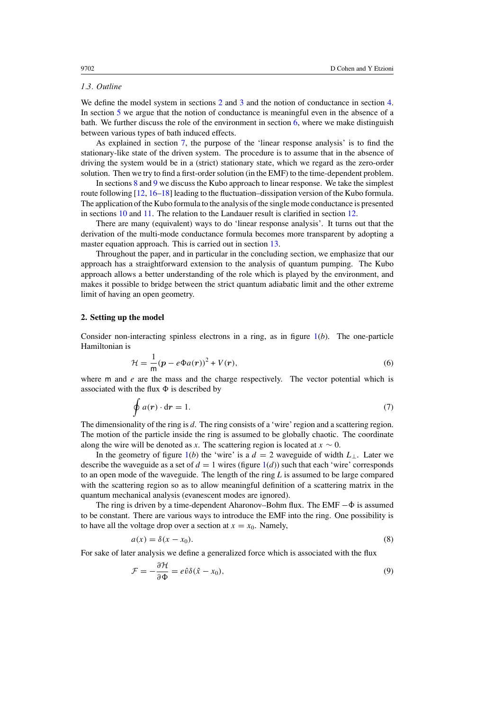# *1.3. Outline*

We define the model system in sections 2 and [3](#page-4-0) and the notion of conductance in section [4.](#page-5-0) In section [5](#page-6-0) we argue that the notion of conductance is meaningful even in the absence of a bath. We further discuss the role of the environment in section  $6$ , where we make distinguish between various types of bath induced effects.

As explained in section [7,](#page-8-0) the purpose of the 'linear response analysis' is to find the stationary-like state of the driven system. The procedure is to assume that in the absence of driving the system would be in a (strict) stationary state, which we regard as the zero-order solution. Then we try to find a first-order solution (in the EMF) to the time-dependent problem.

In sections [8](#page-9-0) and [9](#page-10-0) we discuss the Kubo approach to linear response. We take the simplest route following [\[12,](#page-17-0) [16–18](#page-17-0)] leading to the fluctuation–dissipation version of the Kubo formula. The application of the Kubo formula to the analysis of the single mode conductance is presented in sections [10](#page-10-0) and [11.](#page-11-0) The relation to the Landauer result is clarified in section [12.](#page-12-0)

There are many (equivalent) ways to do 'linear response analysis'. It turns out that the derivation of the multi-mode conductance formula becomes more transparent by adopting a master equation approach. This is carried out in section [13.](#page-12-0)

Throughout the paper, and in particular in the concluding section, we emphasize that our approach has a straightforward extension to the analysis of quantum pumping. The Kubo approach allows a better understanding of the role which is played by the environment, and makes it possible to bridge between the strict quantum adiabatic limit and the other extreme limit of having an open geometry.

### **2. Setting up the model**

Consider non-interacting spinless electrons in a ring, as in figure [1\(](#page-1-0)*b*). The one-particle Hamiltonian is

$$
\mathcal{H} = \frac{1}{m}(p - e\Phi a(r))^2 + V(r),\tag{6}
$$

where m and  $e$  are the mass and the charge respectively. The vector potential which is associated with the flux  $\Phi$  is described by

$$
\oint a(\mathbf{r}) \cdot d\mathbf{r} = 1. \tag{7}
$$

The dimensionality of the ring is *d*. The ring consists of a 'wire' region and a scattering region. The motion of the particle inside the ring is assumed to be globally chaotic. The coordinate along the wire will be denoted as *x*. The scattering region is located at  $x \sim 0$ .

In the geometry of figure  $1(b)$  $1(b)$  the 'wire' is a  $d = 2$  waveguide of width  $L_{\perp}$ . Later we describe the waveguide as a set of  $d = 1$  wires (figure  $1(d)$  $1(d)$ ) such that each 'wire' corresponds to an open mode of the waveguide. The length of the ring *L* is assumed to be large compared with the scattering region so as to allow meaningful definition of a scattering matrix in the quantum mechanical analysis (evanescent modes are ignored).

The ring is driven by a time-dependent Aharonov–Bohm flux. The EMF  $-\dot{\Phi}$  is assumed to be constant. There are various ways to introduce the EMF into the ring. One possibility is to have all the voltage drop over a section at  $x = x_0$ . Namely,

$$
a(x) = \delta(x - x_0). \tag{8}
$$

For sake of later analysis we define a generalized force which is associated with the flux

$$
\mathcal{F} = -\frac{\partial \mathcal{H}}{\partial \Phi} = e\hat{v}\delta(\hat{x} - x_0),\tag{9}
$$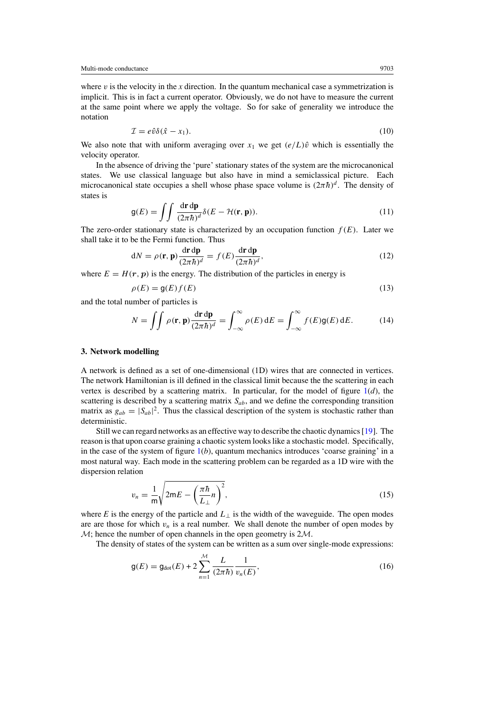<span id="page-4-0"></span>where  $v$  is the velocity in the  $x$  direction. In the quantum mechanical case a symmetrization is implicit. This is in fact a current operator. Obviously, we do not have to measure the current at the same point where we apply the voltage. So for sake of generality we introduce the notation

$$
\mathcal{I} = e\hat{v}\delta(\hat{x} - x_1). \tag{10}
$$

We also note that with uniform averaging over  $x_1$  we get  $(e/L)\hat{v}$  which is essentially the velocity operator.

In the absence of driving the 'pure' stationary states of the system are the microcanonical states. We use classical language but also have in mind a semiclassical picture. Each microcanonical state occupies a shell whose phase space volume is  $(2\pi\hbar)^d$ . The density of states is

$$
g(E) = \iint \frac{d\mathbf{r} \, d\mathbf{p}}{(2\pi\hbar)^d} \delta(E - \mathcal{H}(\mathbf{r}, \mathbf{p})).
$$
 (11)

The zero-order stationary state is characterized by an occupation function  $f(E)$ . Later we shall take it to be the Fermi function. Thus

$$
dN = \rho(\mathbf{r}, \mathbf{p}) \frac{d\mathbf{r} d\mathbf{p}}{(2\pi\hbar)^d} = f(E) \frac{d\mathbf{r} d\mathbf{p}}{(2\pi\hbar)^d},
$$
\n(12)

where  $E = H(r, p)$  is the energy. The distribution of the particles in energy is

$$
\rho(E) = g(E)f(E) \tag{13}
$$

and the total number of particles is

$$
N = \iint \rho(\mathbf{r}, \mathbf{p}) \frac{d\mathbf{r} d\mathbf{p}}{(2\pi\hbar)^d} = \int_{-\infty}^{\infty} \rho(E) dE = \int_{-\infty}^{\infty} f(E) \mathsf{g}(E) dE.
$$
 (14)

#### **3. Network modelling**

A network is defined as a set of one-dimensional (1D) wires that are connected in vertices. The network Hamiltonian is ill defined in the classical limit because the the scattering in each vertex is described by a scattering matrix. In particular, for the model of figure  $1(d)$  $1(d)$ , the scattering is described by a scattering matrix  $S_{ab}$ , and we define the corresponding transition matrix as  $g_{ab} = |S_{ab}|^2$ . Thus the classical description of the system is stochastic rather than deterministic.

Still we can regard networks as an effective way to describe the chaotic dynamics [\[19\]](#page-17-0). The reason is that upon coarse graining a chaotic system looks like a stochastic model. Specifically, in the case of the system of figure  $1(b)$  $1(b)$ , quantum mechanics introduces 'coarse graining' in a most natural way. Each mode in the scattering problem can be regarded as a 1D wire with the dispersion relation

$$
v_n = \frac{1}{m} \sqrt{2mE - \left(\frac{\pi \hbar}{L_{\perp}} n\right)^2},\tag{15}
$$

where *E* is the energy of the particle and  $L_{\perp}$  is the width of the waveguide. The open modes are are those for which  $v_n$  is a real number. We shall denote the number of open modes by  $M$ ; hence the number of open channels in the open geometry is  $2M$ .

The density of states of the system can be written as a sum over single-mode expressions:

$$
g(E) = g_{dot}(E) + 2\sum_{n=1}^{M} \frac{L}{(2\pi\hbar)} \frac{1}{v_n(E)},
$$
\n(16)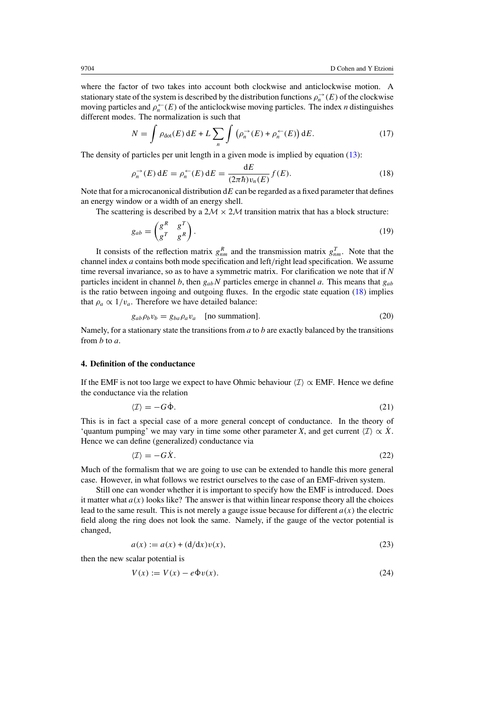<span id="page-5-0"></span>where the factor of two takes into account both clockwise and anticlockwise motion. A stationary state of the system is described by the distribution functions  $\rho_n^{\to}(E)$  of the clockwise moving particles and  $\rho_n^{\leftarrow}(E)$  of the anticlockwise moving particles. The index *n* distinguishes different modes. The normalization is such that

$$
N = \int \rho_{dot}(E) dE + L \sum_{n} \int (\rho_n^{\rightarrow}(E) + \rho_n^{\leftarrow}(E)) dE.
$$
 (17)

The density of particles per unit length in a given mode is implied by equation [\(13\)](#page-4-0):

$$
\rho_n^{\rightarrow}(E) dE = \rho_n^{\leftarrow}(E) dE = \frac{dE}{(2\pi\hbar)v_n(E)} f(E).
$$
 (18)

Note that for a microcanonical distribution d*E* can be regarded as a fixed parameter that defines an energy window or a width of an energy shell.

The scattering is described by a  $2M \times 2M$  transition matrix that has a block structure:

$$
g_{ab} = \begin{pmatrix} g^R & g^T \\ g^T & g^R \end{pmatrix} . \tag{19}
$$

It consists of the reflection matrix  $g_{nm}^R$  and the transmission matrix  $g_{nm}^T$ . Note that the channel index *a* contains both mode specification and left*/*right lead specification. We assume time reversal invariance, so as to have a symmetric matrix. For clarification we note that if *N* particles incident in channel *b*, then *gabN* particles emerge in channel *a*. This means that *gab* is the ratio between ingoing and outgoing fluxes. In the ergodic state equation  $(18)$  implies that  $\rho_a \propto 1/v_a$ . Therefore we have detailed balance:

$$
g_{ab}\rho_b v_b = g_{ba}\rho_a v_a \quad \text{[no summation]}.
$$
 (20)

Namely, for a stationary state the transitions from *a* to *b* are exactly balanced by the transitions from *b* to *a*.

# **4. Definition of the conductance**

If the EMF is not too large we expect to have Ohmic behaviour  $\langle \mathcal{I} \rangle \propto$  EMF. Hence we define the conductance via the relation

$$
\langle \mathcal{I} \rangle = -G\dot{\Phi}.\tag{21}
$$

This is in fact a special case of a more general concept of conductance. In the theory of 'quantum pumping' we may vary in time some other parameter *X*, and get current  $\langle \mathcal{I} \rangle \propto \dot{X}$ . Hence we can define (generalized) conductance via

$$
\langle \mathcal{I} \rangle = -G\dot{X}.\tag{22}
$$

Much of the formalism that we are going to use can be extended to handle this more general case. However, in what follows we restrict ourselves to the case of an EMF-driven system.

Still one can wonder whether it is important to specify how the EMF is introduced. Does it matter what  $a(x)$  looks like? The answer is that within linear response theory all the choices lead to the same result. This is not merely a gauge issue because for different  $a(x)$  the electric field along the ring does not look the same. Namely, if the gauge of the vector potential is changed,

$$
a(x) := a(x) + (d/dx)v(x),
$$
 (23)

then the new scalar potential is

$$
V(x) := V(x) - e\dot{\Phi}v(x). \tag{24}
$$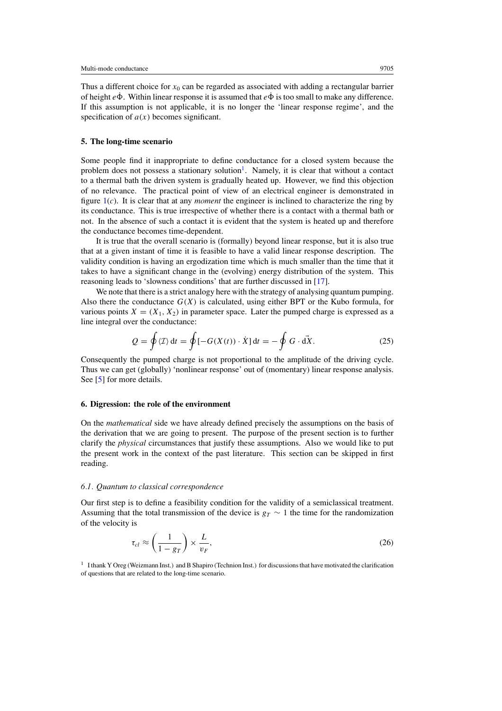<span id="page-6-0"></span>Thus a different choice for  $x_0$  can be regarded as associated with adding a rectangular barrier of height  $e\dot{\Phi}$ . Within linear response it is assumed that  $e\dot{\Phi}$  is too small to make any difference. If this assumption is not applicable, it is no longer the 'linear response regime', and the specification of  $a(x)$  becomes significant.

### **5. The long-time scenario**

Some people find it inappropriate to define conductance for a closed system because the problem does not possess a stationary solution<sup>1</sup>. Namely, it is clear that without a contact to a thermal bath the driven system is gradually heated up. However, we find this objection of no relevance. The practical point of view of an electrical engineer is demonstrated in figure [1\(](#page-1-0)*c*). It is clear that at any *moment* the engineer is inclined to characterize the ring by its conductance. This is true irrespective of whether there is a contact with a thermal bath or not. In the absence of such a contact it is evident that the system is heated up and therefore the conductance becomes time-dependent.

It is true that the overall scenario is (formally) beyond linear response, but it is also true that at a given instant of time it is feasible to have a valid linear response description. The validity condition is having an ergodization time which is much smaller than the time that it takes to have a significant change in the (evolving) energy distribution of the system. This reasoning leads to 'slowness conditions' that are further discussed in [\[17](#page-17-0)].

We note that there is a strict analogy here with the strategy of analysing quantum pumping. Also there the conductance  $G(X)$  is calculated, using either BPT or the Kubo formula, for various points  $X = (X_1, X_2)$  in parameter space. Later the pumped charge is expressed as a line integral over the conductance:

$$
Q = \oint \langle \mathcal{I} \rangle dt = \oint [-G(X(t)) \cdot \dot{X}] dt = -\oint G \cdot d\dot{X}.
$$
 (25)

Consequently the pumped charge is not proportional to the amplitude of the driving cycle. Thus we can get (globally) 'nonlinear response' out of (momentary) linear response analysis. See [\[5](#page-16-0)] for more details.

# **6. Digression: the role of the environment**

On the *mathematical* side we have already defined precisely the assumptions on the basis of the derivation that we are going to present. The purpose of the present section is to further clarify the *physical* circumstances that justify these assumptions. Also we would like to put the present work in the context of the past literature. This section can be skipped in first reading.

# *6.1. Quantum to classical correspondence*

Our first step is to define a feasibility condition for the validity of a semiclassical treatment. Assuming that the total transmission of the device is  $g_T \sim 1$  the time for the randomization of the velocity is

$$
\tau_{cl} \approx \left(\frac{1}{1 - g_T}\right) \times \frac{L}{v_F},\tag{26}
$$

<sup>1</sup> I thank Y Oreg (Weizmann Inst.) and B Shapiro (Technion Inst.) for discussions that have motivated the clarification of questions that are related to the long-time scenario.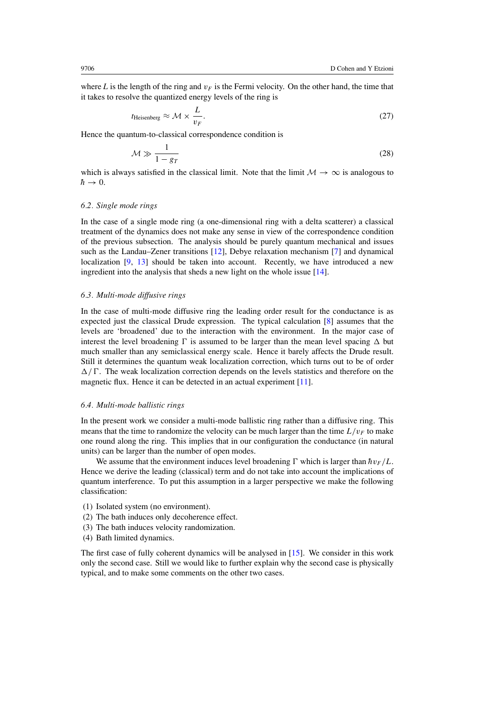where *L* is the length of the ring and  $v_F$  is the Fermi velocity. On the other hand, the time that it takes to resolve the quantized energy levels of the ring is

$$
t_{\text{Heisenberg}} \approx \mathcal{M} \times \frac{L}{v_F}.\tag{27}
$$

Hence the quantum-to-classical correspondence condition is

$$
\mathcal{M} \gg \frac{1}{1 - g_T} \tag{28}
$$

which is always satisfied in the classical limit. Note that the limit  $M \to \infty$  is analogous to  $h \rightarrow 0$ .

#### *6.2. Single mode rings*

In the case of a single mode ring (a one-dimensional ring with a delta scatterer) a classical treatment of the dynamics does not make any sense in view of the correspondence condition of the previous subsection. The analysis should be purely quantum mechanical and issues such as the Landau–Zener transitions [\[12](#page-17-0)], Debye relaxation mechanism [\[7](#page-16-0)] and dynamical localization [\[9](#page-16-0), [13](#page-17-0)] should be taken into account. Recently, we have introduced a new ingredient into the analysis that sheds a new light on the whole issue [\[14](#page-17-0)].

### *6.3. Multi-mode diffusive rings*

In the case of multi-mode diffusive ring the leading order result for the conductance is as expected just the classical Drude expression. The typical calculation [\[8](#page-16-0)] assumes that the levels are 'broadened' due to the interaction with the environment. In the major case of interest the level broadening  $\Gamma$  is assumed to be larger than the mean level spacing  $\Delta$  but much smaller than any semiclassical energy scale. Hence it barely affects the Drude result. Still it determines the quantum weak localization correction, which turns out to be of order  $\Delta/\Gamma$ . The weak localization correction depends on the levels statistics and therefore on the magnetic flux. Hence it can be detected in an actual experiment [\[11](#page-16-0)].

# *6.4. Multi-mode ballistic rings*

In the present work we consider a multi-mode ballistic ring rather than a diffusive ring. This means that the time to randomize the velocity can be much larger than the time  $L/v_F$  to make one round along the ring. This implies that in our configuration the conductance (in natural units) can be larger than the number of open modes.

We assume that the environment induces level broadening  $\Gamma$  which is larger than  $\hbar v_F/L$ . Hence we derive the leading (classical) term and do not take into account the implications of quantum interference. To put this assumption in a larger perspective we make the following classification:

- (1) Isolated system (no environment).
- (2) The bath induces only decoherence effect.
- (3) The bath induces velocity randomization.
- (4) Bath limited dynamics.

The first case of fully coherent dynamics will be analysed in [\[15\]](#page-17-0). We consider in this work only the second case. Still we would like to further explain why the second case is physically typical, and to make some comments on the other two cases.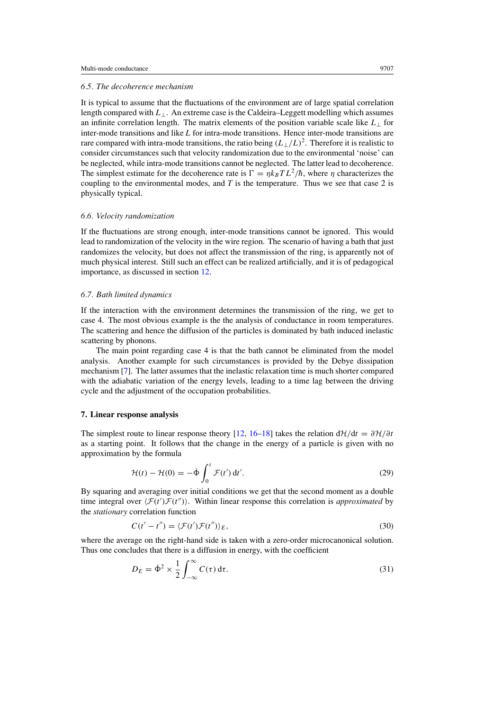#### <span id="page-8-0"></span>*6.5. The decoherence mechanism*

It is typical to assume that the fluctuations of the environment are of large spatial correlation length compared with *L*⊥. An extreme case is the Caldeira–Leggett modelling which assumes an infinite correlation length. The matrix elements of the position variable scale like  $L_{\perp}$  for inter-mode transitions and like *L* for intra-mode transitions. Hence inter-mode transitions are rare compared with intra-mode transitions, the ratio being  $(L_{\perp}/L)^2$ . Therefore it is realistic to consider circumstances such that velocity randomization due to the environmental 'noise' can be neglected, while intra-mode transitions cannot be neglected. The latter lead to decoherence. The simplest estimate for the decoherence rate is  $\Gamma = \eta k_B T L^2/\hbar$ , where  $\eta$  characterizes the coupling to the environmental modes, and *T* is the temperature. Thus we see that case 2 is physically typical.

### *6.6. Velocity randomization*

If the fluctuations are strong enough, inter-mode transitions cannot be ignored. This would lead to randomization of the velocity in the wire region. The scenario of having a bath that just randomizes the velocity, but does not affect the transmission of the ring, is apparently not of much physical interest. Still such an effect can be realized artificially, and it is of pedagogical importance, as discussed in section [12.](#page-12-0)

## *6.7. Bath limited dynamics*

If the interaction with the environment determines the transmission of the ring, we get to case 4. The most obvious example is the the analysis of conductance in room temperatures. The scattering and hence the diffusion of the particles is dominated by bath induced inelastic scattering by phonons.

The main point regarding case 4 is that the bath cannot be eliminated from the model analysis. Another example for such circumstances is provided by the Debye dissipation mechanism [\[7\]](#page-16-0). The latter assumes that the inelastic relaxation time is much shorter compared with the adiabatic variation of the energy levels, leading to a time lag between the driving cycle and the adjustment of the occupation probabilities.

# **7. Linear response analysis**

The simplest route to linear response theory [\[12,](#page-17-0) [16–18](#page-17-0)] takes the relation  $d\mathcal{H}/dt = \partial \mathcal{H}/\partial t$ as a starting point. It follows that the change in the energy of a particle is given with no approximation by the formula

$$
\mathcal{H}(t) - \mathcal{H}(0) = -\dot{\Phi} \int_0^t \mathcal{F}(t') dt'.
$$
\n(29)

By squaring and averaging over initial conditions we get that the second moment as a double time integral over  $\langle \mathcal{F}(t')\mathcal{F}(t'')\rangle$ . Within linear response this correlation is *approximated* by the *stationary* correlation function

$$
C(t'-t'') = \langle \mathcal{F}(t')\mathcal{F}(t'') \rangle_E, \tag{30}
$$

where the average on the right-hand side is taken with a zero-order microcanonical solution. Thus one concludes that there is a diffusion in energy, with the coefficient

$$
D_E = \dot{\Phi}^2 \times \frac{1}{2} \int_{-\infty}^{\infty} C(\tau) d\tau.
$$
 (31)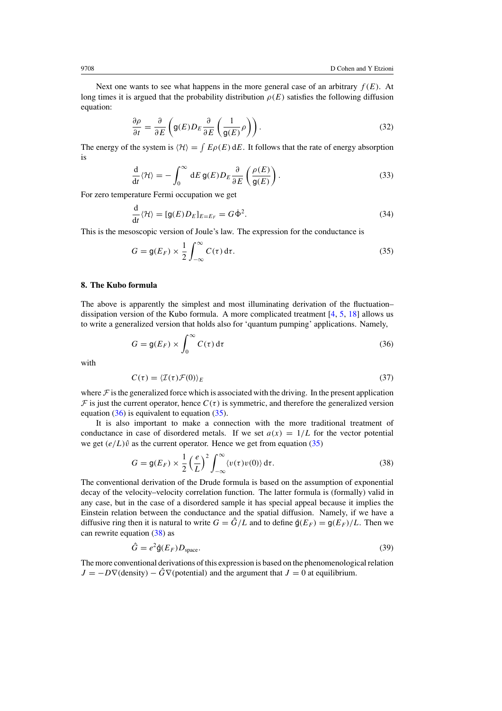<span id="page-9-0"></span>Next one wants to see what happens in the more general case of an arbitrary  $f(E)$ . At long times it is argued that the probability distribution  $\rho(E)$  satisfies the following diffusion equation:

$$
\frac{\partial \rho}{\partial t} = \frac{\partial}{\partial E} \left( \mathsf{g}(E) D_E \frac{\partial}{\partial E} \left( \frac{1}{\mathsf{g}(E)} \rho \right) \right). \tag{32}
$$

The energy of the system is  $\langle H \rangle = \int E \rho(E) dE$ . It follows that the rate of energy absorption is

$$
\frac{\mathrm{d}}{\mathrm{d}t} \langle \mathcal{H} \rangle = -\int_0^\infty \mathrm{d}E \, \mathsf{g}(E) D_E \frac{\partial}{\partial E} \left( \frac{\rho(E)}{\mathsf{g}(E)} \right). \tag{33}
$$

For zero temperature Fermi occupation we get

$$
\frac{\mathrm{d}}{\mathrm{d}t} \langle \mathcal{H} \rangle = [\mathsf{g}(E)D_E]_{E=E_F} = G\dot{\Phi}^2. \tag{34}
$$

This is the mesoscopic version of Joule's law. The expression for the conductance is

$$
G = g(E_F) \times \frac{1}{2} \int_{-\infty}^{\infty} C(\tau) d\tau.
$$
 (35)

# **8. The Kubo formula**

The above is apparently the simplest and most illuminating derivation of the fluctuation– dissipation version of the Kubo formula. A more complicated treatment  $[4, 5, 18]$  $[4, 5, 18]$  $[4, 5, 18]$  $[4, 5, 18]$  $[4, 5, 18]$  allows us to write a generalized version that holds also for 'quantum pumping' applications. Namely,

$$
G = g(E_F) \times \int_0^\infty C(\tau) d\tau
$$
\n(36)

with

$$
C(\tau) = \langle \mathcal{I}(\tau)\mathcal{F}(0)\rangle_E \tag{37}
$$

where  $\mathcal F$  is the generalized force which is associated with the driving. In the present application  $\mathcal F$  is just the current operator, hence  $C(\tau)$  is symmetric, and therefore the generalized version equation  $(36)$  is equivalent to equation  $(35)$ .

It is also important to make a connection with the more traditional treatment of conductance in case of disordered metals. If we set  $a(x) = 1/L$  for the vector potential we get  $(e/L)\hat{v}$  as the current operator. Hence we get from equation (35)

$$
G = g(E_F) \times \frac{1}{2} \left(\frac{e}{L}\right)^2 \int_{-\infty}^{\infty} \langle v(\tau)v(0) \rangle d\tau.
$$
 (38)

The conventional derivation of the Drude formula is based on the assumption of exponential decay of the velocity–velocity correlation function. The latter formula is (formally) valid in any case, but in the case of a disordered sample it has special appeal because it implies the Einstein relation between the conductance and the spatial diffusion. Namely, if we have a diffusive ring then it is natural to write  $G = \hat{G}/L$  and to define  $\hat{g}(E_F) = g(E_F)/L$ . Then we can rewrite equation (38) as

$$
\hat{G} = e^2 \hat{\mathbf{g}}(E_F) D_{\text{space}}.
$$
\n(39)

The more conventional derivations of this expression is based on the phenomenological relation  $J = -D\nabla$ (density) −  $\hat{G}\nabla$ (potential) and the argument that  $J = 0$  at equilibrium.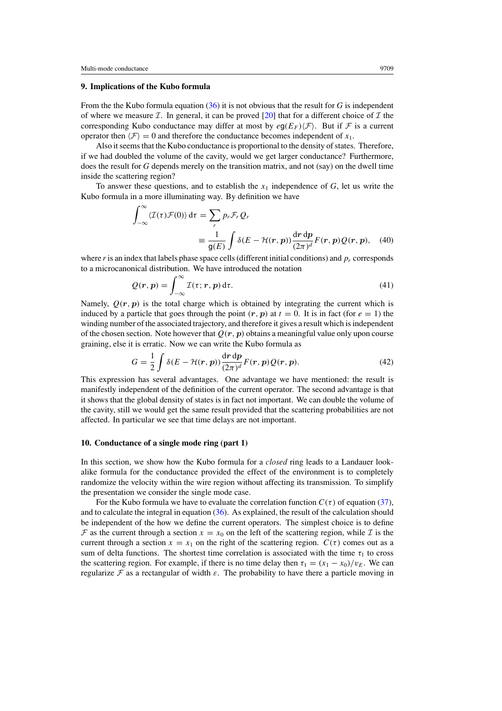# <span id="page-10-0"></span>**9. Implications of the Kubo formula**

From the the Kubo formula equation [\(36\)](#page-9-0) it is not obvious that the result for *G* is independent of where we measure *I*. In general, it can be proved [\[20\]](#page-17-0) that for a different choice of *I* the corresponding Kubo conductance may differ at most by  $eq(E_F)/\mathcal{F}$ . But if  $\mathcal F$  is a current operator then  $\langle \mathcal{F} \rangle = 0$  and therefore the conductance becomes independent of  $x_1$ .

Also it seems that the Kubo conductance is proportional to the density of states. Therefore, if we had doubled the volume of the cavity, would we get larger conductance? Furthermore, does the result for *G* depends merely on the transition matrix, and not (say) on the dwell time inside the scattering region?

To answer these questions, and to establish the *x*<sup>1</sup> independence of *G*, let us write the Kubo formula in a more illuminating way. By definition we have

$$
\int_{-\infty}^{\infty} \langle \mathcal{I}(\tau) \mathcal{F}(0) \rangle d\tau = \sum_{r} p_r \mathcal{F}_r \mathcal{Q}_r
$$
  

$$
\equiv \frac{1}{g(E)} \int \delta(E - \mathcal{H}(r, p)) \frac{dr \, dp}{(2\pi)^d} F(r, p) \mathcal{Q}(r, p), \quad (40)
$$

where  $r$  is an index that labels phase space cells (different initial conditions) and  $p_r$  corresponds to a microcanonical distribution. We have introduced the notation

$$
Q(r, p) = \int_{-\infty}^{\infty} \mathcal{I}(\tau; r, p) d\tau.
$$
 (41)

Namely,  $Q(r, p)$  is the total charge which is obtained by integrating the current which is induced by a particle that goes through the point  $(r, p)$  at  $t = 0$ . It is in fact (for  $e = 1$ ) the winding number of the associated trajectory, and therefore it gives a result which is independent of the chosen section. Note however that  $Q(r, p)$  obtains a meaningful value only upon course graining, else it is erratic. Now we can write the Kubo formula as

$$
G = \frac{1}{2} \int \delta(E - \mathcal{H}(r, p)) \frac{\mathrm{d}r \, \mathrm{d}p}{(2\pi)^d} F(r, p) Q(r, p). \tag{42}
$$

This expression has several advantages. One advantage we have mentioned: the result is manifestly independent of the definition of the current operator. The second advantage is that it shows that the global density of states is in fact not important. We can double the volume of the cavity, still we would get the same result provided that the scattering probabilities are not affected. In particular we see that time delays are not important.

### **10. Conductance of a single mode ring (part 1)**

In this section, we show how the Kubo formula for a *closed* ring leads to a Landauer lookalike formula for the conductance provided the effect of the environment is to completely randomize the velocity within the wire region without affecting its transmission. To simplify the presentation we consider the single mode case.

For the Kubo formula we have to evaluate the correlation function  $C(\tau)$  of equation [\(37\)](#page-9-0), and to calculate the integral in equation [\(36\)](#page-9-0). As explained, the result of the calculation should be independent of the how we define the current operators. The simplest choice is to define F as the current through a section  $x = x_0$  on the left of the scattering region, while I is the current through a section  $x = x_1$  on the right of the scattering region.  $C(\tau)$  comes out as a sum of delta functions. The shortest time correlation is associated with the time  $\tau_1$  to cross the scattering region. For example, if there is no time delay then  $\tau_1 = (x_1 - x_0)/v_E$ . We can regularize F as a rectangular of width  $\varepsilon$ . The probability to have there a particle moving in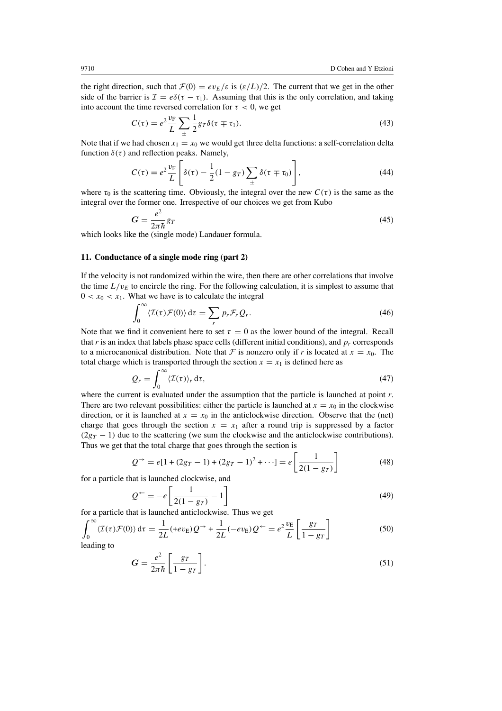<span id="page-11-0"></span>the right direction, such that  $\mathcal{F}(0) = ev_E/\varepsilon$  is  $(\varepsilon/L)/2$ . The current that we get in the other side of the barrier is  $\mathcal{I} = e\delta(\tau - \tau_1)$ . Assuming that this is the only correlation, and taking into account the time reversed correlation for  $\tau < 0$ , we get

$$
C(\tau) = e^2 \frac{v_\text{F}}{L} \sum_{\pm} \frac{1}{2} g_T \delta(\tau \mp \tau_1). \tag{43}
$$

Note that if we had chosen  $x_1 = x_0$  we would get three delta functions: a self-correlation delta function  $\delta(\tau)$  and reflection peaks. Namely,

$$
C(\tau) = e^2 \frac{v_{\rm F}}{L} \left[ \delta(\tau) - \frac{1}{2} (1 - g_T) \sum_{\pm} \delta(\tau \mp \tau_0) \right],\tag{44}
$$

where  $\tau_0$  is the scattering time. Obviously, the integral over the new  $C(\tau)$  is the same as the integral over the former one. Irrespective of our choices we get from Kubo

$$
G = \frac{e^2}{2\pi\hbar}gr\tag{45}
$$

which looks like the (single mode) Landauer formula.

# **11. Conductance of a single mode ring (part 2)**

If the velocity is not randomized within the wire, then there are other correlations that involve the time  $L/v_E$  to encircle the ring. For the following calculation, it is simplest to assume that  $0 < x_0 < x_1$ . What we have is to calculate the integral

$$
\int_0^\infty \langle \mathcal{I}(\tau)\mathcal{F}(0)\rangle \, \mathrm{d}\tau = \sum_r p_r \mathcal{F}_r \mathcal{Q}_r. \tag{46}
$$

Note that we find it convenient here to set  $\tau = 0$  as the lower bound of the integral. Recall that  $r$  is an index that labels phase space cells (different initial conditions), and  $p_r$  corresponds to a microcanonical distribution. Note that F is nonzero only if r is located at  $x = x_0$ . The total charge which is transported through the section  $x = x_1$  is defined here as

$$
Q_r = \int_0^\infty \langle \mathcal{I}(\tau) \rangle_r \, \mathrm{d}\tau,\tag{47}
$$

where the current is evaluated under the assumption that the particle is launched at point *r*. There are two relevant possibilities: either the particle is launched at  $x = x_0$  in the clockwise direction, or it is launched at  $x = x_0$  in the anticlockwise direction. Observe that the (net) charge that goes through the section  $x = x_1$  after a round trip is suppressed by a factor  $(2g_T - 1)$  due to the scattering (we sum the clockwise and the anticlockwise contributions). Thus we get that the total charge that goes through the section is

$$
Q^{-} = e[1 + (2g_T - 1) + (2g_T - 1)^2 + \cdots] = e\left[\frac{1}{2(1 - g_T)}\right]
$$
 (48)

for a particle that is launched clockwise, and

$$
Q^{\leftarrow} = -e \left[ \frac{1}{2(1 - g_T)} - 1 \right] \tag{49}
$$

for a particle that is launched anticlockwise. Thus we get

$$
\int_0^\infty \langle \mathcal{I}(\tau)\mathcal{F}(0)\rangle \, \mathrm{d}\tau = \frac{1}{2L} (+ev_E)Q^{\rightarrow} + \frac{1}{2L} (-ev_E)Q^{\leftarrow} = e^2 \frac{v_E}{L} \left[ \frac{gr}{1 - gr} \right] \tag{50}
$$

leading to

$$
G = \frac{e^2}{2\pi\hbar} \left[ \frac{g_T}{1 - g_T} \right].
$$
 (51)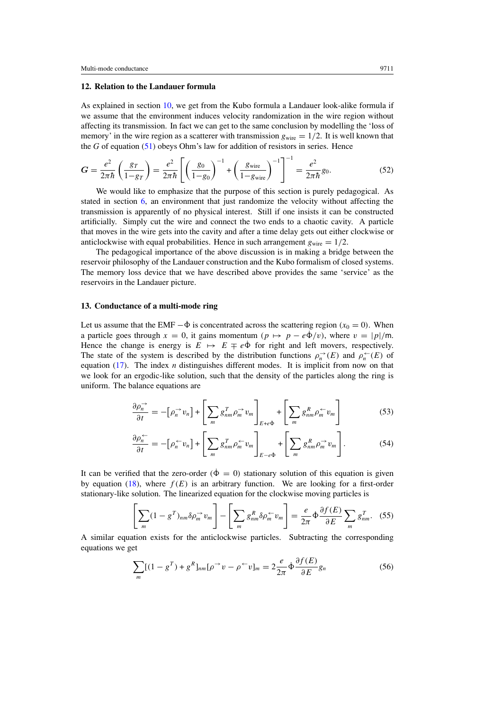# <span id="page-12-0"></span>**12. Relation to the Landauer formula**

As explained in section [10,](#page-10-0) we get from the Kubo formula a Landauer look-alike formula if we assume that the environment induces velocity randomization in the wire region without affecting its transmission. In fact we can get to the same conclusion by modelling the 'loss of memory' in the wire region as a scatterer with transmission  $g_{\text{wire}} = 1/2$ . It is well known that the *G* of equation [\(51\)](#page-11-0) obeys Ohm's law for addition of resistors in series. Hence

$$
G = \frac{e^2}{2\pi\hbar} \left(\frac{g_T}{1 - g_T}\right) = \frac{e^2}{2\pi\hbar} \left[ \left(\frac{g_0}{1 - g_0}\right)^{-1} + \left(\frac{g_{\text{wire}}}{1 - g_{\text{wire}}}\right)^{-1} \right]^{-1} = \frac{e^2}{2\pi\hbar} g_0.
$$
 (52)

We would like to emphasize that the purpose of this section is purely pedagogical. As stated in section [6,](#page-6-0) an environment that just randomize the velocity without affecting the transmission is apparently of no physical interest. Still if one insists it can be constructed artificially. Simply cut the wire and connect the two ends to a chaotic cavity. A particle that moves in the wire gets into the cavity and after a time delay gets out either clockwise or anticlockwise with equal probabilities. Hence in such arrangement  $g_{\text{wire}} = 1/2$ .

The pedagogical importance of the above discussion is in making a bridge between the reservoir philosophy of the Landauer construction and the Kubo formalism of closed systems. The memory loss device that we have described above provides the same 'service' as the reservoirs in the Landauer picture.

# **13. Conductance of a multi-mode ring**

Let us assume that the EMF  $-\dot{\Phi}$  is concentrated across the scattering region  $(x_0 = 0)$ . When a particle goes through  $x = 0$ , it gains momentum  $(p \mapsto p - e\dot{\Phi}/v)$ , where  $v = |p|/m$ . Hence the change is energy is  $E \mapsto E \mp e\dot{\Phi}$  for right and left movers, respectively. The state of the system is described by the distribution functions  $\rho_n^{\rightarrow}(E)$  and  $\rho_n^{\leftarrow}(E)$  of equation [\(17\)](#page-5-0). The index *n* distinguishes different modes. It is implicit from now on that we look for an ergodic-like solution, such that the density of the particles along the ring is uniform. The balance equations are

$$
\frac{\partial \rho_n^{\rightarrow}}{\partial t} = -[\rho_n^{\rightarrow} v_n] + \left[\sum_m g_{nm}^T \rho_m^{\rightarrow} v_m\right]_{E+e\Phi} + \left[\sum_m g_{nm}^R \rho_m^{\leftarrow} v_m\right]
$$
(53)

$$
\frac{\partial \rho_n^{\leftarrow}}{\partial t} = -[\rho_n^{\leftarrow} v_n] + \left[\sum_m g_{nm}^T \rho_m^{\leftarrow} v_m\right]_{E-e^{\Phi}} + \left[\sum_m g_{nm}^R \rho_m^{\rightarrow} v_m\right].
$$
 (54)

It can be verified that the zero-order  $(\dot{\Phi} = 0)$  stationary solution of this equation is given by equation [\(18\)](#page-5-0), where  $f(E)$  is an arbitrary function. We are looking for a first-order stationary-like solution. The linearized equation for the clockwise moving particles is

$$
\left[\sum_{m} (1 - g^{T})_{nm} \delta \rho_{m}^{\rightarrow} v_{m}\right] - \left[\sum_{m} g_{nm}^{R} \delta \rho_{m}^{\leftarrow} v_{m}\right] = \frac{e}{2\pi} \dot{\Phi} \frac{\partial f(E)}{\partial E} \sum_{m} g_{nm}^{T}.
$$
 (55)

A similar equation exists for the anticlockwise particles. Subtracting the corresponding equations we get

$$
\sum_{m} [(1 - gT) + gR]_{nm} [\rho→ v - \rho ← v]_{m} = 2 \frac{e}{2\pi} \Phi \frac{\partial f(E)}{\partial E} g_{n}
$$
 (56)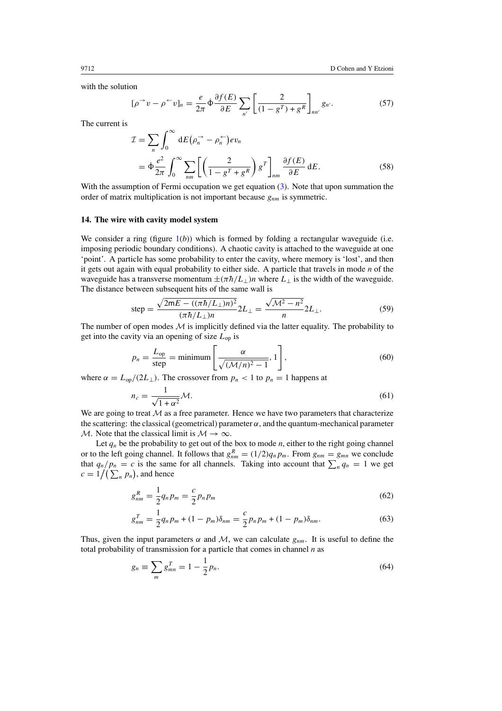<span id="page-13-0"></span>with the solution

$$
[\rho^{\rightarrow} v - \rho^{\leftarrow} v]_n = \frac{e}{2\pi} \Phi \frac{\partial f(E)}{\partial E} \sum_{n'} \left[ \frac{2}{(1 - g^T) + g^R} \right]_{nn'} g_{n'}.
$$
 (57)

The current is

$$
\mathcal{I} = \sum_{n} \int_{0}^{\infty} dE (\rho_n^{\rightarrow} - \rho_n^{\leftarrow}) ev_n
$$
  
=  $\dot{\Phi} \frac{e^2}{2\pi} \int_{0}^{\infty} \sum_{nm} \left[ \left( \frac{2}{1 - g^T + g^R} \right) g^T \right]_{nm} \frac{\partial f(E)}{\partial E} dE.$  (58)

With the assumption of Fermi occupation we get equation  $(3)$ . Note that upon summation the order of matrix multiplication is not important because  $g_{nm}$  is symmetric.

### **14. The wire with cavity model system**

We consider a ring (figure  $1(b)$  $1(b)$ ) which is formed by folding a rectangular waveguide (i.e. imposing periodic boundary conditions). A chaotic cavity is attached to the waveguide at one 'point'. A particle has some probability to enter the cavity, where memory is 'lost', and then it gets out again with equal probability to either side. A particle that travels in mode *n* of the waveguide has a transverse momentum  $\pm(\pi\hbar/L_{\perp})n$  where  $L_{\perp}$  is the width of the waveguide. The distance between subsequent hits of the same wall is

step = 
$$
\frac{\sqrt{2mE - ((\pi \hbar / L_{\perp})n)^2}}{(\pi \hbar / L_{\perp})n} 2L_{\perp} = \frac{\sqrt{\mathcal{M}^2 - n^2}}{n} 2L_{\perp}.
$$
 (59)

The number of open modes  $M$  is implicitly defined via the latter equality. The probability to get into the cavity via an opening of size *L*op is

$$
p_n = \frac{L_{\text{op}}}{\text{step}} = \text{minimum} \left[ \frac{\alpha}{\sqrt{(\mathcal{M}/n)^2 - 1}}, 1 \right],\tag{60}
$$

where  $\alpha = L_{op}/(2L_{\perp})$ . The crossover from  $p_n < 1$  to  $p_n = 1$  happens at

$$
n_c = \frac{1}{\sqrt{1 + \alpha^2}} \mathcal{M}.
$$
\n(61)

We are going to treat  $M$  as a free parameter. Hence we have two parameters that characterize the scattering: the classical (geometrical) parameter  $\alpha$ , and the quantum-mechanical parameter M. Note that the classical limit is  $M \to \infty$ .

Let  $q_n$  be the probability to get out of the box to mode  $n$ , either to the right going channel or to the left going channel. It follows that  $g_{nm}^R = (1/2)q_n p_m$ . From  $g_{nm} = g_{mn}$  we conclude that  $q_n/p_n = c$  is the same for all channels. Taking into account that  $\sum_n q_n = 1$  we get  $c = 1/(\sum_n p_n)$ , and hence

$$
g_{nm}^R = \frac{1}{2} q_n p_m = \frac{c}{2} p_n p_m \tag{62}
$$

$$
g_{nm}^T = \frac{1}{2}q_n p_m + (1 - p_m)\delta_{nm} = \frac{c}{2}p_n p_m + (1 - p_m)\delta_{nm}.
$$
 (63)

Thus, given the input parameters  $\alpha$  and  $\mathcal{M}$ , we can calculate  $g_{nm}$ . It is useful to define the total probability of transmission for a particle that comes in channel *n* as

$$
g_n \equiv \sum_m g_{mn}^T = 1 - \frac{1}{2} p_n.
$$
 (64)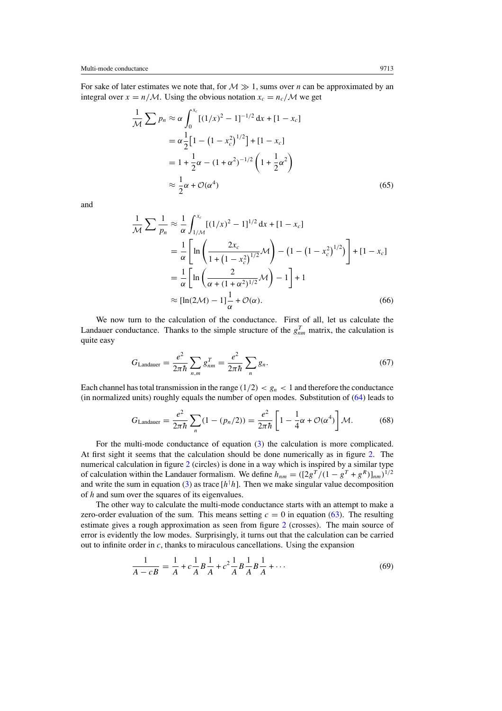For sake of later estimates we note that, for  $M \gg 1$ , sums over *n* can be approximated by an integral over  $x = n/M$ . Using the obvious notation  $x_c = n_c/M$  we get

$$
\frac{1}{\mathcal{M}} \sum p_n \approx \alpha \int_0^{x_c} [(1/x)^2 - 1]^{-1/2} dx + [1 - x_c]
$$
  
=  $\alpha \frac{1}{2} [1 - (1 - x_c^2)^{1/2}] + [1 - x_c]$   
=  $1 + \frac{1}{2} \alpha - (1 + \alpha^2)^{-1/2} \left( 1 + \frac{1}{2} \alpha^2 \right)$   
 $\approx \frac{1}{2} \alpha + \mathcal{O}(\alpha^4)$  (65)

and

$$
\frac{1}{\mathcal{M}} \sum \frac{1}{p_n} \approx \frac{1}{\alpha} \int_{1/\mathcal{M}}^{x_c} [(1/x)^2 - 1]^{1/2} dx + [1 - x_c]
$$
  
=  $\frac{1}{\alpha} \left[ \ln \left( \frac{2x_c}{1 + (1 - x_c^2)^{1/2}} \mathcal{M} \right) - (1 - (1 - x_c^2)^{1/2}) \right] + [1 - x_c]$   
=  $\frac{1}{\alpha} \left[ \ln \left( \frac{2}{\alpha + (1 + \alpha^2)^{1/2}} \mathcal{M} \right) - 1 \right] + 1$   
 $\approx [\ln(2\mathcal{M}) - 1] \frac{1}{\alpha} + \mathcal{O}(\alpha).$  (66)

We now turn to the calculation of the conductance. First of all, let us calculate the Landauer conductance. Thanks to the simple structure of the  $g_{nm}^T$  matrix, the calculation is quite easy

$$
G_{\text{Landauer}} = \frac{e^2}{2\pi\hbar} \sum_{n,m} g_{nm}^T = \frac{e^2}{2\pi\hbar} \sum_{n} g_n.
$$
 (67)

Each channel has total transmission in the range  $(1/2) < g_n < 1$  and therefore the conductance (in normalized units) roughly equals the number of open modes. Substitution of [\(64\)](#page-13-0) leads to

$$
G_{\text{Landauer}} = \frac{e^2}{2\pi\hbar} \sum_{n} (1 - (p_n/2)) = \frac{e^2}{2\pi\hbar} \left[ 1 - \frac{1}{4}\alpha + \mathcal{O}(\alpha^4) \right] \mathcal{M}.
$$
 (68)

For the multi-mode conductance of equation [\(3\)](#page-2-0) the calculation is more complicated. At first sight it seems that the calculation should be done numerically as in figure [2.](#page-15-0) The numerical calculation in figure [2](#page-15-0) (circles) is done in a way which is inspired by a similar type of calculation within the Landauer formalism. We define  $h_{nm} = (\left[\frac{2g^T}{(1 - g^T + g^R)}\right]_{nm})^{1/2}$ and write the sum in equation [\(3\)](#page-2-0) as trace  $[h^{\dagger}h]$ . Then we make singular value decomposition of *h* and sum over the squares of its eigenvalues.

The other way to calculate the multi-mode conductance starts with an attempt to make a zero-order evaluation of the sum. This means setting  $c = 0$  in equation [\(63\)](#page-13-0). The resulting estimate gives a rough approximation as seen from figure [2](#page-15-0) (crosses). The main source of error is evidently the low modes. Surprisingly, it turns out that the calculation can be carried out to infinite order in *c*, thanks to miraculous cancellations. Using the expansion

$$
\frac{1}{A - cB} = \frac{1}{A} + c\frac{1}{A}B\frac{1}{A} + c^2\frac{1}{A}B\frac{1}{A}B\frac{1}{A} + \dots
$$
 (69)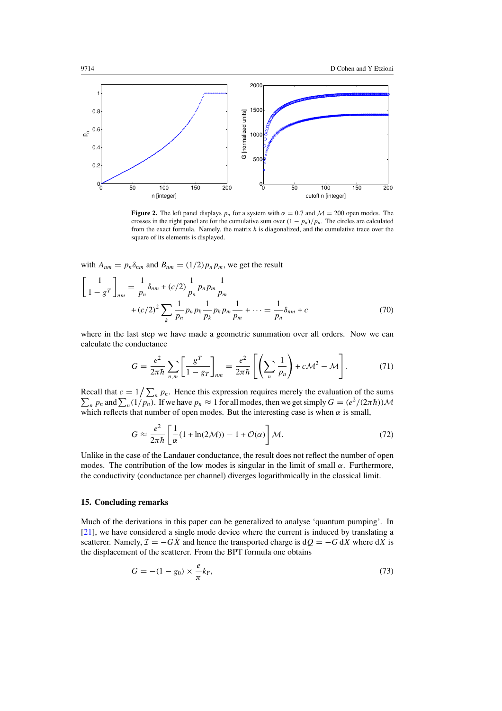<span id="page-15-0"></span>

**Figure 2.** The left panel displays  $p_n$  for a system with  $\alpha = 0.7$  and  $\mathcal{M} = 200$  open modes. The crosses in the right panel are for the cumulative sum over  $(1 - p_n)/p_n$ . The circles are calculated from the exact formula. Namely, the matrix *h* is diagonalized, and the cumulative trace over the square of its elements is displayed.

with  $A_{nm} = p_n \delta_{nm}$  and  $B_{nm} = (1/2)p_n p_m$ , we get the result

$$
\left[\frac{1}{1-g^{T}}\right]_{nm} = \frac{1}{p_{n}}\delta_{nm} + (c/2)\frac{1}{p_{n}}p_{n}p_{m}\frac{1}{p_{m}}
$$

$$
+ (c/2)^{2} \sum_{k} \frac{1}{p_{n}}p_{n}p_{k}\frac{1}{p_{k}}p_{k}p_{m}\frac{1}{p_{m}} + \dots = \frac{1}{p_{n}}\delta_{nm} + c
$$
(70)

where in the last step we have made a geometric summation over all orders. Now we can calculate the conductance

$$
G = \frac{e^2}{2\pi\hbar} \sum_{n,m} \left[ \frac{g^T}{1 - g_T} \right]_{nm} = \frac{e^2}{2\pi\hbar} \left[ \left( \sum_n \frac{1}{p_n} \right) + c\mathcal{M}^2 - \mathcal{M} \right]. \tag{71}
$$

Recall that  $c = 1/\sum_n p_n$ . Hence this expression requires merely the evaluation of the sums  $\sum_n p_n$  and  $\sum_n (1/p_n)$ . If we have  $p_n \approx 1$  for all modes, then we get simply  $G = (e^2/(2\pi\hbar))\mathcal{M}$ which reflects that number of open modes. But the interesting case is when  $\alpha$  is small,

$$
G \approx \frac{e^2}{2\pi\hbar} \left[ \frac{1}{\alpha} (1 + \ln(2\mathcal{M})) - 1 + \mathcal{O}(\alpha) \right] \mathcal{M}.
$$
 (72)

Unlike in the case of the Landauer conductance, the result does not reflect the number of open modes. The contribution of the low modes is singular in the limit of small  $\alpha$ . Furthermore, the conductivity (conductance per channel) diverges logarithmically in the classical limit.

# **15. Concluding remarks**

Much of the derivations in this paper can be generalized to analyse 'quantum pumping'. In [\[21](#page-17-0)], we have considered a single mode device where the current is induced by translating a scatterer. Namely,  $\mathcal{I} = -GX$  and hence the transported charge is  $dQ = -G dX$  where  $dX$  is the displacement of the scatterer. From the BPT formula one obtains

$$
G = -(1 - g_0) \times \frac{e}{\pi} k_{\rm F},
$$
\n(73)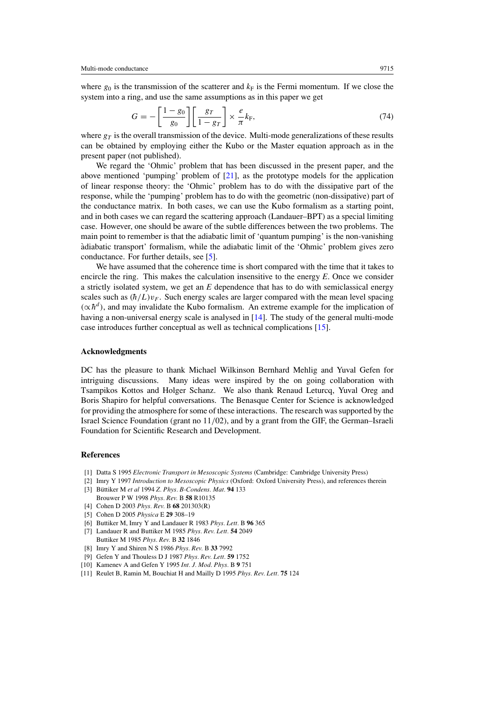<span id="page-16-0"></span>where  $g_0$  is the transmission of the scatterer and  $k_F$  is the Fermi momentum. If we close the system into a ring, and use the same assumptions as in this paper we get

$$
G = -\left[\frac{1 - g_0}{g_0}\right] \left[\frac{g_T}{1 - g_T}\right] \times \frac{e}{\pi} k_{\rm F},\tag{74}
$$

where  $g_T$  is the overall transmission of the device. Multi-mode generalizations of these results can be obtained by employing either the Kubo or the Master equation approach as in the present paper (not published).

We regard the 'Ohmic' problem that has been discussed in the present paper, and the above mentioned 'pumping' problem of [\[21\]](#page-17-0), as the prototype models for the application of linear response theory: the 'Ohmic' problem has to do with the dissipative part of the response, while the 'pumping' problem has to do with the geometric (non-dissipative) part of the conductance matrix. In both cases, we can use the Kubo formalism as a starting point, and in both cases we can regard the scattering approach (Landauer–BPT) as a special limiting case. However, one should be aware of the subtle differences between the two problems. The main point to remember is that the adiabatic limit of 'quantum pumping' is the non-vanishing adiabatic transport' formalism, while the adiabatic limit of the 'Ohmic' problem gives zero ` conductance. For further details, see [5].

We have assumed that the coherence time is short compared with the time that it takes to encircle the ring. This makes the calculation insensitive to the energy *E*. Once we consider a strictly isolated system, we get an *E* dependence that has to do with semiclassical energy scales such as  $(\hbar/L)v_F$ . Such energy scales are larger compared with the mean level spacing  $(\propto \hbar^d)$ , and may invalidate the Kubo formalism. An extreme example for the implication of having a non-universal energy scale is analysed in [\[14](#page-17-0)]. The study of the general multi-mode case introduces further conceptual as well as technical complications [\[15](#page-17-0)].

### **Acknowledgments**

DC has the pleasure to thank Michael Wilkinson Bernhard Mehlig and Yuval Gefen for intriguing discussions. Many ideas were inspired by the on going collaboration with Tsampikos Kottos and Holger Schanz. We also thank Renaud Leturcq, Yuval Oreg and Boris Shapiro for helpful conversations. The Benasque Center for Science is acknowledged for providing the atmosphere for some of these interactions. The research was supported by the Israel Science Foundation (grant no 11*/*02), and by a grant from the GIF, the German–Israeli Foundation for Scientific Research and Development.

#### **References**

- [1] Datta S 1995 *Electronic Transport in Mesoscopic Systems* (Cambridge: Cambridge University Press)
- [2] Imry Y 1997 *Introduction to Mesoscopic Physics* (Oxford: Oxford University Press), and references therein
- [3] Büttiker M et al 1994 *Z. Phys. B-Condens. Mat.* 94 133 Brouwer P W 1998 *Phys. Rev.* B **58** R10135
- [4] Cohen D 2003 *Phys. Rev.* B **68** 201303(R)
- [5] Cohen D 2005 *Physica* E **29** 308–19
- [6] Buttiker M, Imry Y and Landauer R 1983 *Phys. Lett.* B **96** 365
- [7] Landauer R and Buttiker M 1985 *Phys. Rev. Lett.* **54** 2049 Buttiker M 1985 *Phys. Rev.* B **32** 1846
- [8] Imry Y and Shiren N S 1986 *Phys. Rev.* B **33** 7992
- [9] Gefen Y and Thouless D J 1987 *Phys. Rev. Lett.* **59** 1752
- [10] Kamenev A and Gefen Y 1995 *Int. J. Mod. Phys.* B **9** 751
- [11] Reulet B, Ramin M, Bouchiat H and Mailly D 1995 *Phys. Rev. Lett.* **75** 124